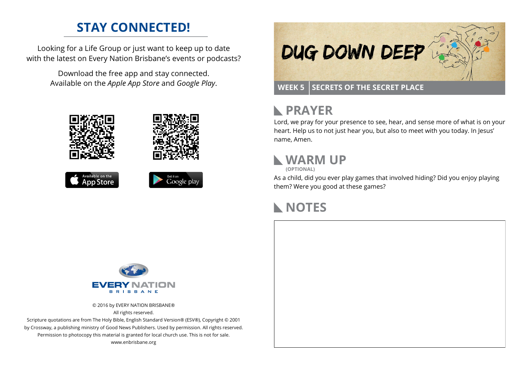## **STAY CONNECTED!**

Looking for a Life Group or just want to keep up to date with the latest on Every Nation Brisbane's events or podcasts?

> Download the free app and stay connected. Available on the *Apple App Store* and *Google Play*.











## **RAYER**

Lord, we pray for your presence to see, hear, and sense more of what is on your heart. Help us to not just hear you, but also to meet with you today. In Jesus' name, Amen.

## **WARM UP**

**(OPTIONAL)**

As a child, did you ever play games that involved hiding? Did you enjoy playing them? Were you good at these games?

## **NOTES**



© 2016 by EVERY NATION BRISBANE® All rights reserved.

Scripture quotations are from The Holy Bible, English Standard Version® (ESV®), Copyright © 2001 by Crossway, a publishing ministry of Good News Publishers. Used by permission. All rights reserved. Permission to photocopy this material is granted for local church use. This is not for sale. www.enbrisbane.org